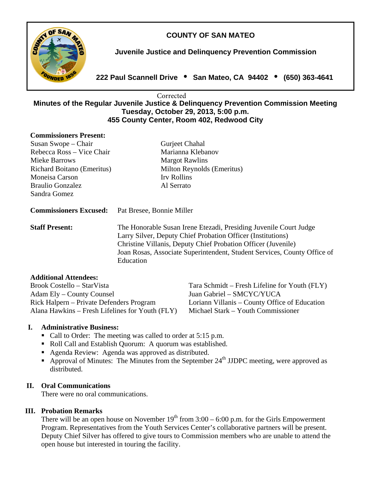# **COUNTY OF SAN MATEO**



**Juvenile Justice and Delinquency Prevention Commission** 

**222 Paul Scannell Drive San Mateo, CA 94402 (650) 363-4641** 

#### **Minutes of the Regular Juvenile Justice & Delinquency Prevention Commission Meeting Tuesday, October 29, 2013, 5:00 p.m. 455 County Center, Room 402, Redwood City Corrected**

### **Commissioners Present:**

| Susan Swope – Chair           | Gurjeet Chahal             |
|-------------------------------|----------------------------|
| Rebecca Ross – Vice Chair     | Marianna Klebanov          |
| Mieke Barrows                 | <b>Margot Rawlins</b>      |
| Richard Boitano (Emeritus)    | Milton Reynolds (Emeritus) |
| Moneisa Carson                | Irv Rollins                |
| <b>Braulio Gonzalez</b>       | Al Serrato                 |
| Sandra Gomez                  |                            |
| <b>Commissioners Excused:</b> | Pat Bresee, Bonnie Miller  |
|                               |                            |
| <b>Staff Present:</b>         |                            |

## **Additional Attendees:**

Brook Costello – StarVista Tara Schmidt – Fresh Lifeline for Youth (FLY) Adam Ely – County Counsel Juan Gabriel – SMCYC/YUCA Rick Halpern – Private Defenders Program Loriann Villanis – County Office of Education Alana Hawkins – Fresh Lifelines for Youth (FLY) Michael Stark – Youth Commissioner

## **I. Administrative Business:**

- Call to Order: The meeting was called to order at 5:15 p.m.
- Roll Call and Establish Quorum: A quorum was established.
- Agenda Review: Agenda was approved as distributed.
- Approval of Minutes: The Minutes from the September  $24<sup>th</sup>$  JJDPC meeting, were approved as distributed.

## **II. Oral Communications**

There were no oral communications.

## **III. Probation Remarks**

There will be an open house on November  $19<sup>th</sup>$  from  $3:00 - 6:00$  p.m. for the Girls Empowerment Program. Representatives from the Youth Services Center's collaborative partners will be present. Deputy Chief Silver has offered to give tours to Commission members who are unable to attend the open house but interested in touring the facility.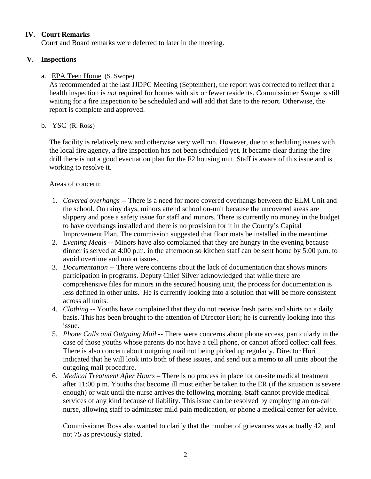## **IV. Court Remarks**

Court and Board remarks were deferred to later in the meeting.

## **V. Inspections**

## a. EPA Teen Home (S. Swope)

As recommended at the last JJDPC Meeting (September), the report was corrected to reflect that a health inspection is *not* required for homes with six or fewer residents. Commissioner Swope is still waiting for a fire inspection to be scheduled and will add that date to the report. Otherwise, the report is complete and approved.

## b. YSC (R. Ross)

The facility is relatively new and otherwise very well run. However, due to scheduling issues with the local fire agency, a fire inspection has not been scheduled yet. It became clear during the fire drill there is not a good evacuation plan for the F2 housing unit. Staff is aware of this issue and is working to resolve it.

## Areas of concern:

- 1. *Covered overhangs* -- There is a need for more covered overhangs between the ELM Unit and the school. On rainy days, minors attend school on-unit because the uncovered areas are slippery and pose a safety issue for staff and minors. There is currently no money in the budget to have overhangs installed and there is no provision for it in the County's Capital Improvement Plan. The commission suggested that floor mats be installed in the meantime.
- 2. *Evening Meals* -- Minors have also complained that they are hungry in the evening because dinner is served at 4:00 p.m. in the afternoon so kitchen staff can be sent home by 5:00 p.m. to avoid overtime and union issues.
- 3. *Documentation --* There were concerns about the lack of documentation that shows minors participation in programs. Deputy Chief Silver acknowledged that while there are comprehensive files for minors in the secured housing unit, the process for documentation is less defined in other units.He is currently looking into a solution that will be more consistent across all units.
- 4. *Clothing* -- Youths have complained that they do not receive fresh pants and shirts on a daily basis. This has been brought to the attention of Director Hori; he is currently looking into this issue.
- 5. *Phone Calls and Outgoing Mail* -- There were concerns about phone access, particularly in the case of those youths whose parents do not have a cell phone, or cannot afford collect call fees. There is also concern about outgoing mail not being picked up regularly. Director Hori indicated that he will look into both of these issues, and send out a memo to all units about the outgoing mail procedure.
- 6. *Medical Treatment After Hours* There is no process in place for on-site medical treatment after 11:00 p.m. Youths that become ill must either be taken to the ER (if the situation is severe enough) or wait until the nurse arrives the following morning. Staff cannot provide medical services of any kind because of liability. This issue can be resolved by employing an on-call nurse, allowing staff to administer mild pain medication, or phone a medical center for advice.

Commissioner Ross also wanted to clarify that the number of grievances was actually 42, and not 75 as previously stated.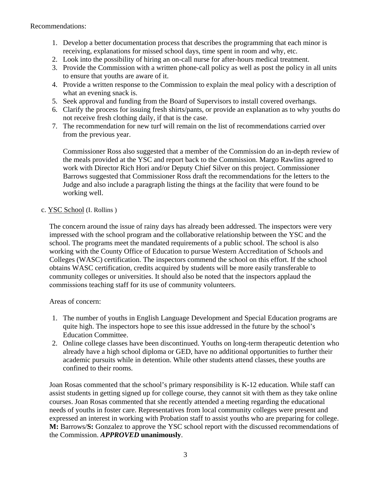- 1. Develop a better documentation process that describes the programming that each minor is receiving, explanations for missed school days, time spent in room and why, etc.
- 2. Look into the possibility of hiring an on-call nurse for after-hours medical treatment.
- 3. Provide the Commission with a written phone-call policy as well as post the policy in all units to ensure that youths are aware of it.
- 4. Provide a written response to the Commission to explain the meal policy with a description of what an evening snack is.
- 5. Seek approval and funding from the Board of Supervisors to install covered overhangs.
- 6. Clarify the process for issuing fresh shirts/pants, or provide an explanation as to why youths do not receive fresh clothing daily, if that is the case.
- 7. The recommendation for new turf will remain on the list of recommendations carried over from the previous year.

Commissioner Ross also suggested that a member of the Commission do an in-depth review of the meals provided at the YSC and report back to the Commission. Margo Rawlins agreed to work with Director Rich Hori and/or Deputy Chief Silver on this project. Commissioner Barrows suggested that Commissioner Ross draft the recommendations for the letters to the Judge and also include a paragraph listing the things at the facility that were found to be working well.

### c. YSC School (I. Rollins )

The concern around the issue of rainy days has already been addressed. The inspectors were very impressed with the school program and the collaborative relationship between the YSC and the school. The programs meet the mandated requirements of a public school. The school is also working with the County Office of Education to pursue Western Accreditation of Schools and Colleges (WASC) certification. The inspectors commend the school on this effort. If the school obtains WASC certification, credits acquired by students will be more easily transferable to community colleges or universities. It should also be noted that the inspectors applaud the commissions teaching staff for its use of community volunteers.

Areas of concern:

- 1. The number of youths in English Language Development and Special Education programs are quite high. The inspectors hope to see this issue addressed in the future by the school's Education Committee.
- 2. Online college classes have been discontinued. Youths on long-term therapeutic detention who already have a high school diploma or GED, have no additional opportunities to further their academic pursuits while in detention. While other students attend classes, these youths are confined to their rooms.

Joan Rosas commented that the school's primary responsibility is K-12 education. While staff can assist students in getting signed up for college course, they cannot sit with them as they take online courses. Joan Rosas commented that she recently attended a meeting regarding the educational needs of youths in foster care. Representatives from local community colleges were present and expressed an interest in working with Probation staff to assist youths who are preparing for college. **M:** Barrows/**S:** Gonzalez to approve the YSC school report with the discussed recommendations of the Commission. *APPROVED* **unanimously**.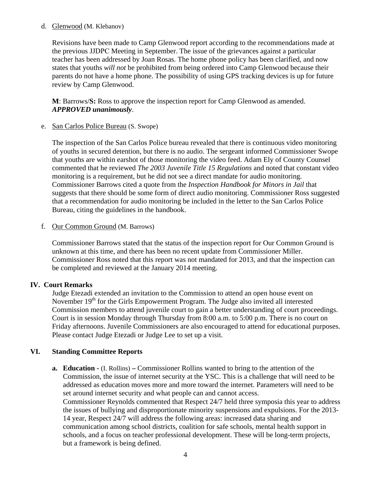### d. Glenwood (M. Klebanov)

Revisions have been made to Camp Glenwood report according to the recommendations made at the previous JJDPC Meeting in September. The issue of the grievances against a particular teacher has been addressed by Joan Rosas. The home phone policy has been clarified, and now states that youths *will not* be prohibited from being ordered into Camp Glenwood because their parents do not have a home phone. The possibility of using GPS tracking devices is up for future review by Camp Glenwood.

**M**: Barrows/**S:** Ross to approve the inspection report for Camp Glenwood as amended. *APPROVED unanimously*.

e. San Carlos Police Bureau (S. Swope)

The inspection of the San Carlos Police bureau revealed that there is continuous video monitoring of youths in secured detention, but there is no audio. The sergeant informed Commissioner Swope that youths are within earshot of those monitoring the video feed. Adam Ely of County Counsel commented that he reviewed *The 2003 Juvenile Title 15 Regulations* and noted that constant video monitoring is a requirement, but he did not see a direct mandate for audio monitoring. Commissioner Barrows cited a quote from the *Inspection Handbook for Minors in Jail* that suggests that there should be some form of direct audio monitoring. Commissioner Ross suggested that a recommendation for audio monitoring be included in the letter to the San Carlos Police Bureau, citing the guidelines in the handbook.

## f. Our Common Ground (M. Barrows)

Commissioner Barrows stated that the status of the inspection report for Our Common Ground is unknown at this time, and there has been no recent update from Commissioner Miller. Commissioner Ross noted that this report was not mandated for 2013, and that the inspection can be completed and reviewed at the January 2014 meeting.

## **IV. Court Remarks**

Judge Etezadi extended an invitation to the Commission to attend an open house event on November 19<sup>th</sup> for the Girls Empowerment Program. The Judge also invited all interested Commission members to attend juvenile court to gain a better understanding of court proceedings. Court is in session Monday through Thursday from 8:00 a.m. to 5:00 p.m. There is no court on Friday afternoons. Juvenile Commissioners are also encouraged to attend for educational purposes. Please contact Judge Etezadi or Judge Lee to set up a visit.

## **VI. Standing Committee Reports**

**a. Education -** (I. Rollins) **–** Commissioner Rollins wanted to bring to the attention of the Commission, the issue of internet security at the YSC. This is a challenge that will need to be addressed as education moves more and more toward the internet. Parameters will need to be set around internet security and what people can and cannot access. Commissioner Reynolds commented that Respect 24/7 held three symposia this year to address the issues of bullying and disproportionate minority suspensions and expulsions. For the 2013- 14 year, Respect 24/7 will address the following areas: increased data sharing and communication among school districts, coalition for safe schools, mental health support in schools, and a focus on teacher professional development. These will be long-term projects, but a framework is being defined.